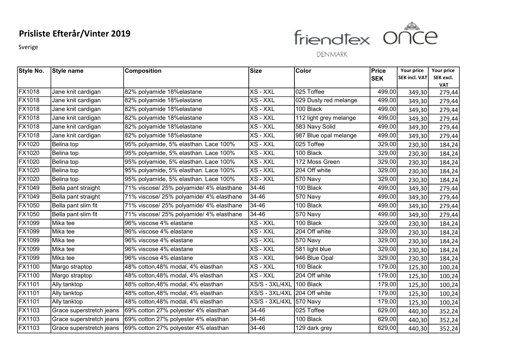Sverige



| Style No.     | Style name               | <b>Composition</b>                       | Size           | Color                  | Price      | Your price           | Your price           |
|---------------|--------------------------|------------------------------------------|----------------|------------------------|------------|----------------------|----------------------|
|               |                          |                                          |                |                        | <b>SEK</b> | <b>SEK incl. VAT</b> | SEK excl.            |
| <b>FX1018</b> | Jane knit cardigan       | 82% polyamide 18%elastane                | XS - XXL       | 025 Toffee             | 499,00     | 349,30               | <b>VAT</b><br>279,44 |
| FX1018        | Jane knit cardigan       | 82% polyamide 18% elastane               | XS - XXL       | 029 Dusty red melange  | 499,00     | 349,30               |                      |
| <b>FX1018</b> | Jane knit cardigan       | 82% polyamide 18%elastane                | XS - XXL       | 100 Black              | 499,00     |                      | 279,44               |
| FX1018        |                          | 82% polyamide 18% elastane               | XS - XXL       |                        | 499,00     | 349,30               | 279,44               |
| <b>FX1018</b> | Jane knit cardigan       |                                          |                | 112 light grey melange |            | 349,30               | 279,44               |
|               | Jane knit cardigan       | 82% polyamide 18%elastane                | XS - XXL       | 583 Navy Solid         | 499,00     | 349,30               | 279,44               |
| <b>FX1018</b> | Jane knit cardigan       | 82% polyamide 18% elastane               | XS - XXL       | 987 Blue opal melange  | 499,00     | 349,30               | 279,44               |
| <b>FX1020</b> | Belina top               | 95% polyamide, 5% elasthan. Lace 100%    | XS - XXL       | 025 Toffee             | 329,00     | 230,30               | 184,24               |
| FX1020        | Belina top               | 95% polyamide, 5% elasthan. Lace 100%    | XS - XXL       | 100 Black              | 329,00     | 230,30               | 184,24               |
| FX1020        | Belina top               | 95% polyamide, 5% elasthan. Lace 100%    | XS - XXL       | 172 Moss Green         | 329,00     | 230,30               | 184,24               |
| <b>FX1020</b> | Belina top               | 95% polyamide, 5% elasthan. Lace 100%    | XS - XXL       | 204 Off white          | 329,00     | 230,30               | 184,24               |
| FX1020        | Belina top               | 95% polyamide, 5% elasthan. Lace 100%    | XS - XXL       | 570 Navy               | 329,00     | 230,30               | 184,24               |
| FX1049        | Bella pant straight      | 71% viscose/ 25% polyamide/ 4% elasthane | 34-46          | 100 Black              | 499,00     | 349,30               | 279,44               |
| FX1049        | Bella pant straight      | 71% viscose/ 25% polyamide/ 4% elasthane | 34-46          | 570 Navy               | 499,00     | 349,30               | 279,44               |
| <b>FX1050</b> | Bella pant slim fit      | 71% viscose/ 25% polyamide/ 4% elasthane | 34-46          | 100 Black              | 499,00     | 349,30               | 279,44               |
| <b>FX1050</b> | Bella pant slim fit      | 71% viscose/ 25% polyamide/ 4% elasthane | 34-46          | 570 Navy               | 499,00     | 349,30               | 279,44               |
| <b>FX1099</b> | Mika tee                 | 96% viscose 4% elastane                  | XS - XXL       | 100 Black              | 329,00     | 230,30               | 184,24               |
| FX1099        | Mika tee                 | 96% viscose 4% elastane                  | XS - XXL       | 204 Off white          | 329,00     | 230,30               | 184,24               |
| FX1099        | Mika tee                 | 96% viscose 4% elastane                  | XS - XXL       | 570 Navy               | 329,00     | 230,30               | 184,24               |
| <b>FX1099</b> | Mika tee                 | 96% viscose 4% elastane                  | XS - XXL       | 581 light blue         | 329,00     | 230,30               | 184,24               |
| FX1099        | Mika tee                 | 96% viscose 4% elastane                  | XS - XXL       | 946 Blue Opal          | 329,00     | 230,30               | 184,24               |
| <b>FX1100</b> | Margo straptop           | 48% cotton, 48% modal, 4% elasthan       | XS - XXL       | 100 Black              | 179,00     | 125,30               | 100,24               |
| FX1100        | Margo straptop           | 48% cotton, 48% modal, 4% elasthan       | XS - XXL       | 204 Off white          | 179,00     | 125,30               | 100,24               |
| <b>FX1101</b> | Ally tanktop             | 48% cotton, 48% modal, 4% elasthan       | XS/S - 3XL/4XL | 100 Black              | 179,00     | 125,30               | 100,24               |
| <b>FX1101</b> | Ally tanktop             | 48% cotton, 48% modal, 4% elasthan       | XS/S - 3XL/4XL | 204 Off white          | 179,00     | 125,30               | 100,24               |
| <b>FX1101</b> | Ally tanktop             | 48% cotton, 48% modal, 4% elasthan       | XS/S - 3XL/4XL | 570 Navy               | 179,00     | 125,30               | 100,24               |
| <b>FX1103</b> | Grace superstretch jeans | 69% cotton 27% polyester 4% elasthan     | 34-46          | 025 Toffee             | 629,00     | 440,30               | 352,24               |
| <b>FX1103</b> | Grace superstretch jeans | 69% cotton 27% polyester 4% elasthan     | 34-46          | 100 Black              | 629,00     | 440,30               | 352,24               |
| <b>FX1103</b> | Grace superstretch jeans | 69% cotton 27% polyester 4% elasthan     | 34-46          | 129 dark grey          | 629,00     | 440,30               | 352,24               |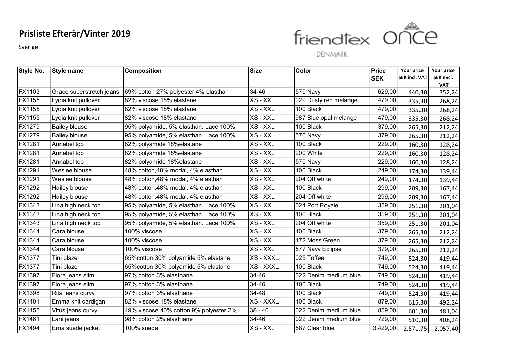Sverige



| <b>Style No.</b> | <b>Style name</b>        | <b>Composition</b>                     | Size      | <b>Color</b>          | <b>Price</b> | Your price           | Your price           |
|------------------|--------------------------|----------------------------------------|-----------|-----------------------|--------------|----------------------|----------------------|
|                  |                          |                                        |           |                       | <b>SEK</b>   | <b>SEK incl. VAT</b> | SEK excl.            |
| <b>FX1103</b>    | Grace superstretch jeans | 69% cotton 27% polyester 4% elasthan   | 34-46     | 570 Navy              | 629,00       | 440,30               | <b>VAT</b><br>352,24 |
| FX1155           | Lydia knit pullover      | 82% viscose 18% elastane               | XS - XXL  | 029 Dusty red melange | 479,00       | 335,30               | 268,24               |
| FX1155           | Lydia knit pullover      | 82% viscose 18% elastane               | XS - XXL  | 100 Black             | 479,00       |                      |                      |
| FX1155           | Lydia knit pullover      | 82% viscose 18% elastane               | XS - XXL  | 987 Blue opal melange | 479,00       | 335,30               | 268,24               |
| <b>FX1279</b>    | <b>Bailey blouse</b>     | 95% polyamide, 5% elasthan. Lace 100%  | XS - XXL  | 100 Black             | 379,00       | 335,30               | 268,24               |
| FX1279           | <b>Bailey blouse</b>     | 95% polyamide, 5% elasthan. Lace 100%  | XS - XXL  | 570 Navy              | 379,00       | 265,30               | 212,24               |
| <b>FX1281</b>    |                          |                                        | XS - XXL  | 100 Black             | 229,00       | 265,30               | 212,24               |
|                  | Annabel top              | 82% polyamide 18%elastane              |           |                       |              | 160,30               | 128,24               |
| <b>FX1281</b>    | Annabel top              | 82% polyamide 18%elastane              | XS - XXL  | 200 White             | 229,00       | 160,30               | 128,24               |
| FX1281           | Annabel top              | 82% polyamide 18%elastane              | XS - XXL  | 570 Navy              | 229,00       | 160,30               | 128,24               |
| FX1291           | Weslee blouse            | 48% cotton, 48% modal, 4% elasthan     | XS - XXL  | 100 Black             | 249,00       | 174,30               | 139,44               |
| FX1291           | Weslee blouse            | 48% cotton, 48% modal, 4% elasthan     | XS - XXL  | 204 Off white         | 249,00       | 174,30               | 139,44               |
| FX1292           | Hailey blouse            | 48% cotton, 48% modal, 4% elasthan     | XS - XXL  | 100 Black             | 299,00       | 209,30               | 167,44               |
| <b>FX1292</b>    | Hailey blouse            | 48% cotton, 48% modal, 4% elasthan     | XS - XXL  | 204 Off white         | 299,00       | 209,30               | 167,44               |
| <b>FX1343</b>    | Lina high neck top       | 95% polyamide, 5% elasthan. Lace 100%  | XS - XXL  | 024 Port Royale       | 359,00       | 251,30               | 201,04               |
| FX1343           | Lina high neck top       | 95% polyamide, 5% elasthan. Lace 100%  | XS - XXL  | 100 Black             | 359,00       | 251,30               | 201,04               |
| <b>FX1343</b>    | Lina high neck top       | 95% polyamide, 5% elasthan. Lace 100%  | XS - XXL  | 204 Off white         | 359,00       | 251,30               | 201,04               |
| FX1344           | Cara blouse              | 100% viscose                           | XS - XXL  | 100 Black             | 379,00       | 265,30               | 212,24               |
| <b>FX1344</b>    | Cara blouse              | 100% viscose                           | XS - XXL  | 172 Moss Green        | 379,00       | 265,30               | 212,24               |
| <b>FX1344</b>    | Cara blouse              | 100% viscose                           | XS - XXL  | 577 Navy Eclipse      | 379,00       | 265,30               | 212,24               |
| <b>FX1377</b>    | Tini blazer              | 65% cotton 30% polyamide 5% elastane   | XS - XXXL | 025 Toffee            | 749,00       | 524,30               | 419,44               |
| <b>FX1377</b>    | Tini blazer              | 65% cotton 30% polyamide 5% elastane   | XS - XXXL | 100 Black             | 749,00       | 524,30               | 419,44               |
| <b>FX1397</b>    | Flora jeans slim         | 97% cotton 3% elasthane                | 34-46     | 022 Denim medium blue | 749,00       | 524,30               | 419,44               |
| FX1397           | Flora jeans slim         | 97% cotton 3% elasthane                | 34-46     | 100 Black             | 749,00       | 524,30               | 419,44               |
| FX1398           | Rita jeans curvy         | 97% cotton 3% elasthane                | 34-48     | 100 Black             | 749,00       | 524,30               | 419,44               |
| <b>FX1401</b>    | Emma knit cardigan       | 82% viscose 18% elastane               | XS - XXXL | 100 Black             | 879,00       | 615,30               | 492,24               |
| FX1455           | Vitus jeans curvy        | 49% viscose 40% cotton 9% polyester 2% | $38 - 46$ | 022 Denim medium blue | 859,00       | 601,30               | 481,04               |
| <b>FX1461</b>    | Lani jeans               | 98% cotton 2% elasthane                | $34 - 46$ | 022 Denim medium blue | 729,00       | 510,30               | 408,24               |
| FX1494           | Ema suede jacket         | 100% suede                             | XS - XXL  | 587 Clear blue        | 3.429,00     | 2.571,75             | 2.057,40             |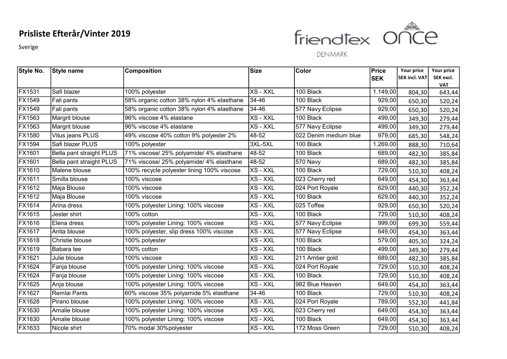Sverige



| Style No.     | Style name               | <b>Composition</b>                         | Size     | Color                 | Price      | Your price           | Your price           |
|---------------|--------------------------|--------------------------------------------|----------|-----------------------|------------|----------------------|----------------------|
|               |                          |                                            |          |                       | <b>SEK</b> | <b>SEK incl. VAT</b> | SEK excl.            |
| <b>FX1531</b> | Safi blazer              | 100% polyester                             | XS - XXL | 100 Black             | 1.149,00   | 804,30               | <b>VAT</b><br>643,44 |
| FX1549        | Fali pants               | 58% organic cotton 38% nylon 4% elasthane  | 34-46    | 100 Black             | 929,00     | 650,30               | 520,24               |
| <b>FX1549</b> | Fali pants               | 58% organic cotton 38% nylon 4% elasthane  | 34-46    | 577 Navy Eclipse      | 929,00     | 650,30               | 520,24               |
| FX1563        | Margrit blouse           | 96% viscose 4% elastane                    | XS - XXL | 100 Black             | 499,00     | 349,30               | 279,44               |
| <b>FX1563</b> | Margrit blouse           | 96% viscose 4% elastane                    | XS - XXL | 577 Navy Eclipse      | 499,00     | 349,30               | 279,44               |
| FX1580        | Vitus jeans PLUS         | 49% viscose 40% cotton 9% polyester 2%     | 48-52    | 022 Denim medium blue | 979,00     | 685,30               | 548,24               |
| <b>FX1594</b> | Safi blazer PLUS         | 100% polyester                             | 3XL-5XL  | 100 Black             | 1.269,00   | 888,30               | 710,64               |
| <b>FX1601</b> | Bella pant straight PLUS | 71% viscose/ 25% polyamide/ 4% elasthane   | 48-52    | 100 Black             | 689,00     | 482,30               | 385,84               |
| <b>FX1601</b> | Bella pant straight PLUS | 71% viscose/ 25% polyamide/ 4% elasthane   | 48-52    | 570 Navy              | 689,00     | 482,30               | 385,84               |
| <b>FX1610</b> | Malene blouse            | 100% recycle polyester lining 100% viscose | XS - XXL | 100 Black             | 729,00     | 510,30               | 408,24               |
| <b>FX1611</b> | Smilla blouse            | 100% viscose                               | XS - XXL | 023 Cherry red        | 649,00     | 454,30               | 363,44               |
| <b>FX1612</b> | Maja Blouse              | $100\%$ viscose                            | XS - XXL | 024 Port Royale       | 629,00     | 440,30               | 352,24               |
| FX1612        | Maja Blouse              | 100% viscose                               | XS - XXL | 100 Black             | 629,00     | 440,30               | 352,24               |
| <b>FX1614</b> | Arina dress              | 100% polyester Lining: 100% viscose        | XS - XXL | 025 Toffee            | 929,00     | 650,30               | 520,24               |
| FX1615        | Jester shirt             | 100% cotton                                | XS - XXL | 100 Black             | 729,00     | 510,30               | 408,24               |
| <b>FX1616</b> | Elena dress              | 100% polyester Lining: 100% viscose        | XS - XXL | 577 Navy Eclipse      | 999,00     | 699,30               | 559,44               |
| FX1617        | Anita blouse             | 100% polyester, slip dress 100% viscose    | XS - XXL | 577 Navy Eclipse      | 649,00     | 454,30               | 363,44               |
| <b>FX1618</b> | Christie blouse          | 100% polyester                             | XS - XXL | 100 Black             | 579,00     | 405,30               | 324,24               |
| <b>FX1619</b> | Babara tee               | 100% cotton                                | XS - XXL | 100 Black             | 499,00     | 349,30               | 279,44               |
| <b>FX1621</b> | Julie blouse             | 100% viscose                               | XS - XXL | 211 Amber gold        | 689,00     | 482,30               | 385,84               |
| FX1624        | Fanja blouse             | 100% polyester Lining: 100% viscose        | XS - XXL | 024 Port Royale       | 729,00     | 510,30               | 408,24               |
| FX1624        | Fanja blouse             | 100% polyester Lining: 100% viscose        | XS - XXL | 100 Black             | 729,00     | 510,30               | 408,24               |
| FX1625        | Anja blouse              | 100% polyester Lining: 100% viscose        | XS - XXL | 982 Blue Heaven       | 649,00     | 454,30               | 363,44               |
| FX1627        | Remlai Pants             | 60% viscose 35% polyamide 5% elasthane     | 34-46    | 100 Black             | 729,00     | 510,30               | 408,24               |
| <b>FX1628</b> | Pirano blouse            | 100% polyester Lining: 100% viscose        | XS - XXL | 024 Port Royale       | 789,00     | 552,30               | 441,84               |
| FX1630        | Amalie blouse            | 100% polyester Lining: 100% viscose        | XS - XXL | 023 Cherry red        | 649,00     | 454,30               | 363,44               |
| <b>FX1630</b> | Amalie blouse            | 100% polyester Lining: 100% viscose        | XS - XXL | 100 Black             | 649,00     | 454,30               | 363,44               |
| FX1633        | Nicole shirt             | 70% modal 30%polyester                     | XS - XXL | 172 Moss Green        | 729,00     | 510,30               | 408,24               |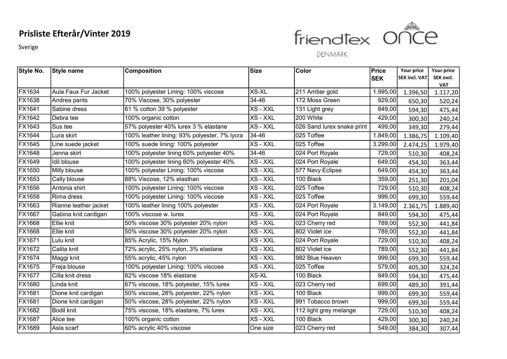Sverige



| Style No.     | Style name            | <b>Composition</b>                           | <b>Size</b> | <b>Color</b>               | Price      | Your price           | Your price             |
|---------------|-----------------------|----------------------------------------------|-------------|----------------------------|------------|----------------------|------------------------|
|               |                       |                                              |             |                            | <b>SEK</b> | <b>SEK incl. VAT</b> | SEK excl.              |
| <b>FX1634</b> | Aula Faux Fur Jacket  | 100% polyester Lining: 100% viscose          | XS-XL       | 211 Amber gold             | 1.995,00   | 1.396,50             | <b>VAT</b><br>1.117,20 |
| FX1638        | Andrea pants          | 70% Viscose, 30% polyester                   | 34-46       | 172 Moss Green             | 929,00     | 650,30               | 520,24                 |
| <b>FX1641</b> | Sabine dress          | 61 % cotton 39 % polyester                   | XS - XXL    | 131 Light grey             | 849,00     | 594,30               | 475,44                 |
| FX1642        | Debra tee             | 100% organic cotton                          | XS - XXL    | 200 White                  | 429,00     | 300,30               | 240,24                 |
| <b>FX1643</b> | Sus tee               | 57% polyester 40% lurex 3 % elastane         | XS - XXL    | 026 Sand lurex snake print | 499,00     | 349,30               | 279,44                 |
| <b>FX1644</b> | Lura skirt            | 100% leather lining: 93% polyester, 7% lycra | 34-46       | 025 Toffee                 | 1.849,00   | 1.386,75             | 1.109,40               |
| FX1645        | Line suede jacket     | 100% suede lining: 100% polyester            | XS - XXL    | 025 Toffee                 | 3.299,00   | 2.474,25             | 1.979,40               |
| <b>FX1648</b> | Jenna skirt           | 100% polyester lining 60% polyester 40%      | 34-46       | 024 Port Royale            | 729,00     | 510,30               | 408,24                 |
| FX1649        | Idil blouse           | 100% polyester lining 60% polyester 40%      | XS - XXL    | 024 Port Royale            | 649,00     | 454,30               | 363,44                 |
| FX1650        | Milly blouse          | 100% polyester Lining: 100% viscose          | XS - XXL    | 577 Navy Eclipse           | 649,00     | 454,30               | 363,44                 |
| FX1653        | Cally blouse          | 88% Viscose, 12% elasthan                    | XS - XXL    | 100 Black                  | 359,00     | 251,30               | 201,04                 |
| <b>FX1656</b> | Antonia shirt         | 100% polyester Lining: 100% viscose          | XS - XXL    | 025 Toffee                 | 729,00     | 510,30               | 408,24                 |
| <b>FX1658</b> | Rima dress            | 100% polyester Lining: 100% viscose          | XS - XXL    | 025 Toffee                 | 999,00     | 699,30               | 559,44                 |
| FX1663        | Rianne leather jacket | 100% leather lining 100% polyester           | XS - XXL    | 024 Port Royale            | 3.149,00   | 2.361,75             | 1.889,40               |
| <b>FX1667</b> | Gabina knit cardigan  | 100% viscose w. lurex                        | XS - XXL    | 024 Port Royale            | 849,00     | 594,30               | 475,44                 |
| FX1668        | Ellie knit            | 50% viscose 30% polyester 20% nylon          | XS - XXL    | 023 Cherry red             | 789,00     | 552,30               | 441,84                 |
| FX1668        | Ellie knit            | 50% viscose 30% polyester 20% nylon          | XS - XXL    | 802 Violet ice             | 789,00     | 552,30               | 441,84                 |
| <b>FX1671</b> | Lulu knit             | 85% Acrylic, 15% Nylon                       | XS - XXL    | 024 Port Royale            | 729,00     | 510,30               | 408,24                 |
| <b>FX1672</b> | Calita knit           | 72% acrylic, 25% nylon, 3% elastane          | XS - XXL    | 802 Violet ice             | 789,00     | 552,30               | 441,84                 |
| FX1674        | Maggi knit            | 55% acrylic, 45% nylon                       | XS - XXL    | 982 Blue Heaven            | 999,00     | 699,30               | 559,44                 |
| <b>FX1675</b> | Freja blouse          | 100% polyester Lining: 100% viscose          | XS - XXL    | 025 Toffee                 | 579,00     | 405,30               | 324,24                 |
| <b>FX1677</b> | Cilla knit dress      | 82% viscose 18% elastane                     | XS-XL       | 100 Black                  | 849,00     | 594,30               | 475,44                 |
| <b>FX1680</b> | Linda knit            | 67% viscose, 18% polyester, 15% lurex        | XS - XXL    | 023 Cherry red             | 699,00     | 489,30               | 391,44                 |
| <b>FX1681</b> | Dione knit cardigan   | 50% viscose, 28% polyester, 22% nylon        | XS - XXL    | 100 Black                  | 999,00     | 699,30               | 559,44                 |
| FX1681        | Dione knit cardigan   | 50% viscose, 28% polyester, 22% nylon        | XS - XXL    | 991 Tobacco brown          | 999,00     | 699,30               | 559,44                 |
| <b>FX1682</b> | <b>Bodil knit</b>     | 75% viscose, 18% elastane, 7% lurex          | XS - XXL    | 112 light grey melange     | 729,00     | 510,30               | 408,24                 |
| <b>FX1687</b> | Alice tee             | 100% organic cotton                          | XS - XXL    | 100 Black                  | 429,00     | 300,30               | 240,24                 |
| <b>FX1689</b> | Asla scarf            | 60% acrylic 40% viscose                      | One size    | 023 Cherry red             | 549,00     | 384,30               | 307,44                 |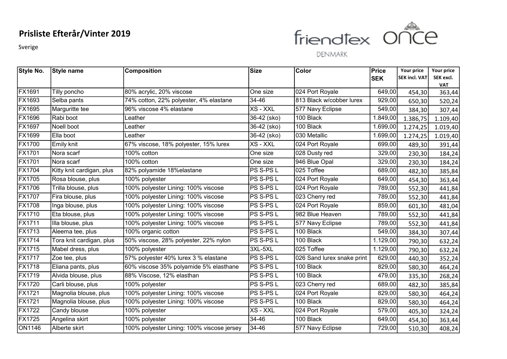Sverige



| Style No.              | Style name                | <b>Composition</b>                         | Size             | Color                      | Price      | Your price           | Your price           |
|------------------------|---------------------------|--------------------------------------------|------------------|----------------------------|------------|----------------------|----------------------|
|                        |                           |                                            |                  |                            | <b>SEK</b> | <b>SEK incl. VAT</b> | SEK excl.            |
| FX1691                 | Tilly poncho              | 80% acrylic, 20% viscose                   | One size         | 024 Port Royale            | 649,00     | 454,30               | <b>VAT</b><br>363,44 |
| FX1693                 | Selba pants               | 74% cotton, 22% polyester, 4% elastane     | 34-46            | 813 Black w/cobber lurex   | 929,00     | 650,30               | 520,24               |
| <b>FX1695</b>          | Marguritte tee            | 96% viscose 4% elastane                    | XS - XXL         | 577 Navy Eclipse           | 549,00     |                      |                      |
| FX1696                 | Rabi boot                 | Leather_                                   | 36-42 (sko)      | 100 Black                  | 1.849,00   | 384,30               | 307,44               |
| <b>FX1697</b>          | Noell boot                | Leather                                    | 36-42 (sko)      | 100 Black                  | 1.699,00   | 1.386,75             | 1.109,40             |
|                        |                           |                                            |                  |                            |            | 1.274,25             | 1.019,40             |
| FX1699                 | Ella boot                 | Leather                                    | 36-42 (sko)      | 030 Metallic               | 1.699,00   | 1.274,25             | 1.019,40             |
| <b>FX1700</b>          | Emily knit                | 67% viscose, 18% polyester, 15% lurex      | XS - XXL         | 024 Port Royale            | 699,00     | 489,30               | 391,44               |
| <b>FX1701</b>          | Nora scarf                | 100% cotton                                | One size         | 028 Dusty red              | 329,00     | 230,30               | 184,24               |
| <b>FX1701</b>          | Nora scarf                | 100% cotton                                | One size         | 946 Blue Opal              | 329,00     | 230,30               | 184,24               |
| <b>FX1704</b>          | Kitty knit cardigan, plus | 82% polyamide 18%elastane                  | PS S-PS L        | 025 Toffee                 | 689,00     | 482,30               | 385,84               |
| <b>FX1705</b>          | Rosa blouse, plus         | 100% polyester                             | PS S-PS L        | 024 Port Royale            | 649,00     | 454,30               | 363,44               |
| <b>FX1706</b>          | Trilla blouse, plus       | 100% polyester Lining: 100% viscose        | PS S-PS L        | 024 Port Royale            | 789,00     | 552,30               | 441,84               |
| <b>FX1707</b>          | Fira blouse, plus         | 100% polyester Lining: 100% viscose        | PS S-PS L        | 023 Cherry red             | 789,00     | 552,30               | 441,84               |
| <b>FX1708</b>          | Inga blouse, plus         | 100% polyester Lining: 100% viscose        | <b>PS S-PS L</b> | 024 Port Royale            | 859,00     | 601,30               | 481,04               |
| FX1710                 | Eta blouse, plus          | 100% polyester Lining: 100% viscose        | PS S-PS L        | 982 Blue Heaven            | 789,00     | 552,30               | 441,84               |
| <b>FX1711</b>          | Illa blouse, plus         | 100% polyester Lining: 100% viscose        | PS S-PS L        | 577 Navy Eclipse           | 789,00     | 552,30               | 441,84               |
| FX1713                 | Aleema tee, plus          | 100% organic cotton                        | PS S-PS L        | 100 Black                  | 549,00     | 384,30               | 307,44               |
| $\sqrt{\text{FX}1714}$ | Tora knit cardigan, plus  | 50% viscose, 28% polyester, 22% nylon      | PS S-PS L        | 100 Black                  | 1.129,00   | 790,30               | 632,24               |
| <b>FX1715</b>          | Mabel dress, plus         | 100% polyester                             | 3XL-5XL          | 025 Toffee                 | 1.129,00   | 790,30               | 632,24               |
| <b>FX1717</b>          | Zoe tee, plus             | 57% polyester 40% lurex 3 % elastane       | PS S-PS L        | 026 Sand lurex snake print | 629,00     | 440,30               | 352,24               |
| <b>FX1718</b>          | Eliana pants, plus        | 60% viscose 35% polyamide 5% elasthane     | PS S-PS L        | 100 Black                  | 829,00     | 580,30               | 464,24               |
| <b>FX1719</b>          | Alvida blouse, plus       | 88% Viscose, 12% elasthan                  | PS S-PS L        | 100 Black                  | 479,00     | 335,30               | 268,24               |
| <b>FX1720</b>          | Carli blouse, plus        | 100% polyester                             | PS S-PS L        | 023 Cherry red             | 689,00     | 482,30               | 385,84               |
| <b>FX1721</b>          | Magnolia blouse, plus     | 100% polyester Lining: 100% viscose        | PS S-PS L        | 024 Port Royale            | 829,00     | 580,30               | 464,24               |
| <b>FX1721</b>          | Magnolia blouse, plus     | 100% polyester Lining: 100% viscose        | PS S-PS L        | 100 Black                  | 829,00     | 580,30               | 464,24               |
| <b>FX1722</b>          | Candy blouse              | 100% polyester                             | XS - XXL         | 024 Port Royale            | 579,00     | 405,30               | 324,24               |
| <b>FX1725</b>          | Angelina skirt            | 100% polyester                             | 34-46            | 100 Black                  | 649,00     | 454,30               | 363,44               |
| ON1146                 | Alberte skirt             | 100% polyester Lining: 100% viscose jersey | 34-46            | 577 Navy Eclipse           | 729,00     | 510,30               | 408,24               |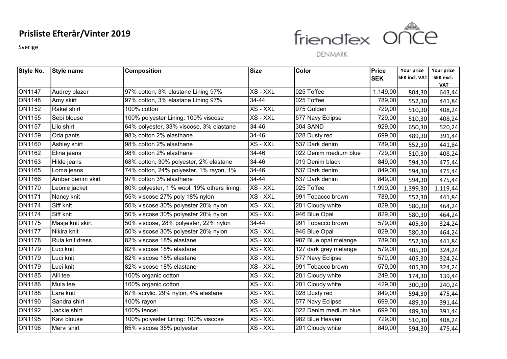Sverige



| <b>Style No.</b> | Style name        | <b>Composition</b>                          | <b>Size</b> | <b>Color</b>          | Price      | Your price           | Your price           |
|------------------|-------------------|---------------------------------------------|-------------|-----------------------|------------|----------------------|----------------------|
|                  |                   |                                             |             |                       | <b>SEK</b> | <b>SEK incl. VAT</b> | SEK excl.            |
| ON1147           | Audrey blazer     | 97% cotton, 3% elastane Lining 97%          | XS - XXL    | 025 Toffee            | 1.149,00   | 804,30               | <b>VAT</b><br>643,44 |
| <b>ON1148</b>    | Amy skirt         | 97% cotton, 3% elastane Lining 97%          | 34-44       | 025 Toffee            | 789,00     | 552,30               | 441,84               |
| <b>ON1152</b>    | Rakel shirt       | 100% cotton                                 | XS - XXL    | 975 Golden            | 729,00     | 510,30               | 408,24               |
| <b>ON1155</b>    | Sebi blouse       | 100% polyester Lining: 100% viscose         | XS - XXL    | 577 Navy Eclipse      | 729,00     | 510,30               | 408,24               |
| <b>ON1157</b>    | Lilo shirt        | 64% polyester, 33% viscose, 3% elastane     | 34-46       | 304 SAND              | 929,00     | 650,30               | 520,24               |
| ON1159           | Oda pants         | 98% cotton 2% elasthane                     | 34-46       | 028 Dusty red         | 699,00     | 489,30               | 391,44               |
| <b>ON1160</b>    | Ashley shirt      | 98% cotton 2% elasthane                     | XS - XXL    | 537 Dark denim        | 789,00     | 552,30               | 441,84               |
| ON1162           | Elina jeans       | 98% cotton 2% elasthane                     | 34-46       | 022 Denim medium blue | 729,00     | 510,30               | 408,24               |
| ON1163           | Hilde jeans       | 68% cotton, 30% polyester, 2% elastane      | 34-46       | 019 Denim black       | 849,00     | 594,30               | 475,44               |
| <b>ON1165</b>    | Loma jeans        | 74% cotton, 24% polyester, 1% rayon, 1%     | $34 - 46$   | 537 Dark denim        | 849,00     | 594,30               | 475,44               |
| ON1166           | Amber denim skirt | 97% cotton 3% elasthane                     | 34-44       | 537 Dark denim        | 849,00     | 594,30               | 475,44               |
| <b>ON1170</b>    | Leonie jacket     | 80% polyester, 1 % wool, 19% others lining: | XS - XXL    | 025 Toffee            | 1.999,00   | 1.399,30             | 1.119,44             |
| <b>ON1171</b>    | Nancy knit        | 55% viscose 27% poly 18% nylon              | XS - XXL    | 991 Tobacco brown     | 789,00     | 552,30               | 441,84               |
| <b>ON1174</b>    | Siff knit         | 50% viscose 30% polyester 20% nylon         | XS - XXL    | 201 Cloudy white      | 829,00     | 580,30               | 464,24               |
| <b>ON1174</b>    | Siff knit         | 50% viscose 30% polyester 20% nylon         | XS - XXL    | 946 Blue Opal         | 829,00     | 580,30               | 464,24               |
| <b>ON1175</b>    | Masja knit skirt  | 50% viscose, 28% polyester, 22% nylon       | 34-44       | 991 Tobacco brown     | 579,00     | 405,30               | 324,24               |
| <b>ON1177</b>    | lNikira knit      | 50% viscose 30% polyester 20% nylon         | XS - XXL    | 946 Blue Opal         | 829,00     | 580,30               | 464,24               |
| <b>ON1178</b>    | Rula knit dress   | 82% viscose 18% elastane                    | $XS - XXL$  | 987 Blue opal melange | 789,00     | 552,30               | 441,84               |
| <b>ON1179</b>    | Luci knit         | 82% viscose 18% elastane                    | XS - XXL    | 127 dark grey melange | 579,00     | 405,30               | 324,24               |
| ON1179           | Luci knit         | 82% viscose 18% elastane                    | XS - XXL    | 577 Navy Eclipse      | 579,00     | 405,30               | 324,24               |
| <b>ON1179</b>    | Luci knit         | 82% viscose 18% elastane                    | XS - XXL    | 991 Tobacco brown     | 579,00     | 405,30               | 324,24               |
| <b>ON1185</b>    | Alli tee          | 100% organic cotton                         | XS - XXL    | 201 Cloudy white      | 249,00     | 174,30               | 139,44               |
| <b>ON1186</b>    | Mula tee          | 100% organic cotton                         | XS - XXL    | 201 Cloudy white      | 429,00     | 300,30               | 240,24               |
| <b>ON1188</b>    | Lara knit         | 67% acrylic, 29% nylon, 4% elastane         | XS - XXL    | 028 Dusty red         | 849,00     | 594,30               | 475,44               |
| ON1190           | Sandra shirt      | 100% rayon                                  | XS - XXL    | 577 Navy Eclipse      | 699,00     | 489,30               | 391,44               |
| <b>ON1192</b>    | Jackie shirt      | 100% tencel                                 | XS - XXL    | 022 Denim medium blue | 699,00     | 489,30               | 391,44               |
| <b>ON1195</b>    | Kavi blouse       | 100% polyester Lining: 100% viscose         | XS - XXL    | 982 Blue Heaven       | 729,00     | 510,30               | 408,24               |
| <b>ON1196</b>    | Mervi shirt       | 65% viscose 35% polyester                   | XS - XXL    | 201 Cloudy white      | 849,00     | 594,30               | 475,44               |